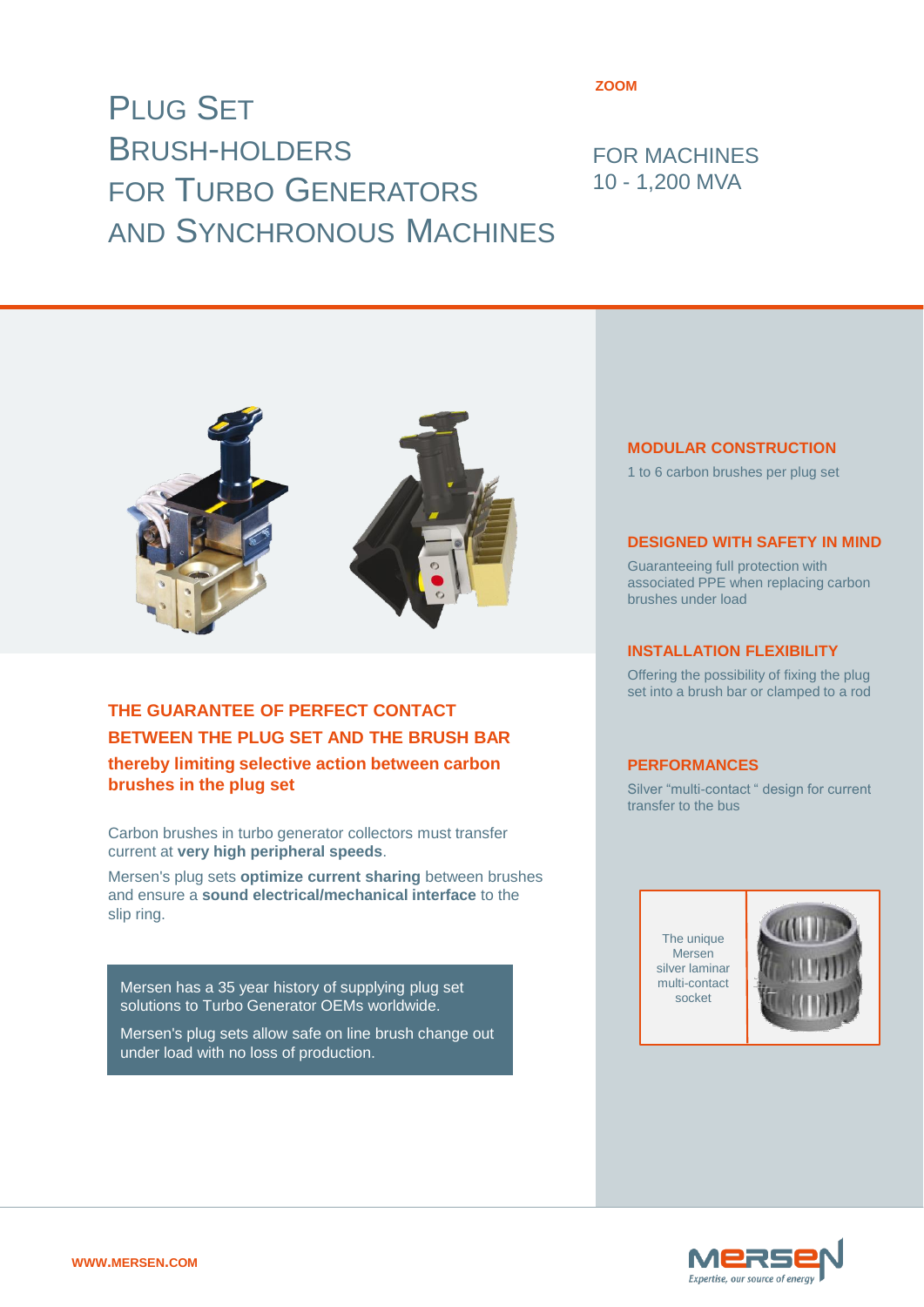# PLUG SET BRUSH-HOLDERS FOR TURBO GENERATORS AND SYNCHRONOUS MACHINES

#### **ZOOM**

## FOR MACHINES 10 - 1,200 MVA



## **THE GUARANTEE OF PERFECT CONTACT BETWEEN THE PLUG SET AND THE BRUSH BAR thereby limiting selective action between carbon brushes in the plug set**

Carbon brushes in turbo generator collectors must transfer current at **very high peripheral speeds**.

Mersen's plug sets **optimize current sharing** between brushes and ensure a **sound electrical/mechanical interface** to the slip ring.

Mersen has a 35 year history of supplying plug set solutions to Turbo Generator OEMs worldwide.

Mersen's plug sets allow safe on line brush change out under load with no loss of production.

#### **MODULAR CONSTRUCTION**

1 to 6 carbon brushes per plug set

#### **DESIGNED WITH SAFETY IN MIND**

Guaranteeing full protection with associated PPE when replacing carbon brushes under load

#### **INSTALLATION FLEXIBILITY**

Offering the possibility of fixing the plug set into a brush bar or clamped to a rod

#### **PERFORMANCES**

Silver "multi-contact " design for current transfer to the bus

> The unique Mersen silver laminar multi-contact socket